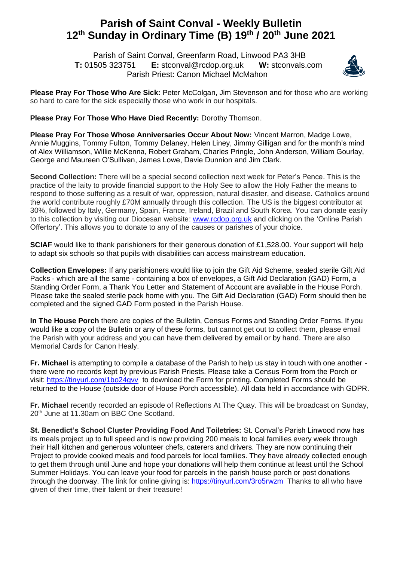## **Parish of Saint Conval - Weekly Bulletin 12 th Sunday in Ordinary Time (B) 19 th / 20th June 2021**

 Parish of Saint Conval, Greenfarm Road, Linwood PA3 3HB **T:** 01505 323751 **E:** [stconval@rcdop.org.uk](mailto:stconval@rcdop.org.uk) **W:** stconvals.com Parish Priest: Canon Michael McMahon



**Please Pray For Those Who Are Sick:** Peter McColgan, Jim Stevenson and for those who are working so hard to care for the sick especially those who work in our hospitals.

**Please Pray For Those Who Have Died Recently:** Dorothy Thomson.

**Please Pray For Those Whose Anniversaries Occur About Now:** Vincent Marron, Madge Lowe, Annie Muggins, Tommy Fulton, Tommy Delaney, Helen Liney, Jimmy Gilligan and for the month's mind of Alex Williamson, Willie McKenna, Robert Graham, Charles Pringle, John Anderson, William Gourlay, George and Maureen O'Sullivan, James Lowe, Davie Dunnion and Jim Clark.

**Second Collection:** There will be a special second collection next week for Peter's Pence. This is the practice of the laity to provide financial support to the Holy See to allow the Holy Father the means to respond to those suffering as a result of war, oppression, natural disaster, and disease. Catholics around the world contribute roughly £70M annually through this collection. The US is the biggest contributor at 30%, followed by Italy, Germany, Spain, France, Ireland, Brazil and South Korea. You can donate easily to this collection by visiting our Diocesan website: [www.rcdop.org.uk](http://www.rcdop.org.uk/) and clicking on the 'Online Parish Offertory'. This allows you to donate to any of the causes or parishes of your choice.

**SCIAF** would like to thank parishioners for their generous donation of £1,528.00. Your support will help to adapt six schools so that pupils with disabilities can access mainstream education.

**Collection Envelopes:** If any parishioners would like to join the Gift Aid Scheme, sealed sterile Gift Aid Packs - which are all the same - containing a box of envelopes, a Gift Aid Declaration (GAD) Form, a Standing Order Form, a Thank You Letter and Statement of Account are available in the House Porch. Please take the sealed sterile pack home with you. The Gift Aid Declaration (GAD) Form should then be completed and the signed GAD Form posted in the Parish House.

**In The House Porch** there are copies of the Bulletin, Census Forms and Standing Order Forms. If you would like a copy of the Bulletin or any of these forms, but cannot get out to collect them, please email the Parish with your address and you can have them delivered by email or by hand. There are also Memorial Cards for Canon Healy.

**Fr. Michael** is attempting to compile a database of the Parish to help us stay in touch with one another there were no records kept by previous Parish Priests. Please take a Census Form from the Porch or visit:<https://tinyurl.com/1bo24gvv>to download the Form for printing. Completed Forms should be returned to the House (outside door of House Porch accessible). All data held in accordance with GDPR.

**Fr. Michael** recently recorded an episode of Reflections At The Quay. This will be broadcast on Sunday, 20th June at 11.30am on BBC One Scotland.

**St. Benedict's School Cluster Providing Food And Toiletries:** St. Conval's Parish Linwood now has its meals project up to full speed and is now providing 200 meals to local families every week through their Hall kitchen and generous volunteer chefs, caterers and drivers. They are now continuing their Project to provide cooked meals and food parcels for local families. They have already collected enough to get them through until June and hope your donations will help them continue at least until the School Summer Holidays. You can leave your food for parcels in the parish house porch or post donations through the doorway. The link for online giving is:<https://tinyurl.com/3ro5rwzm>Thanks to all who have given of their time, their talent or their treasure!